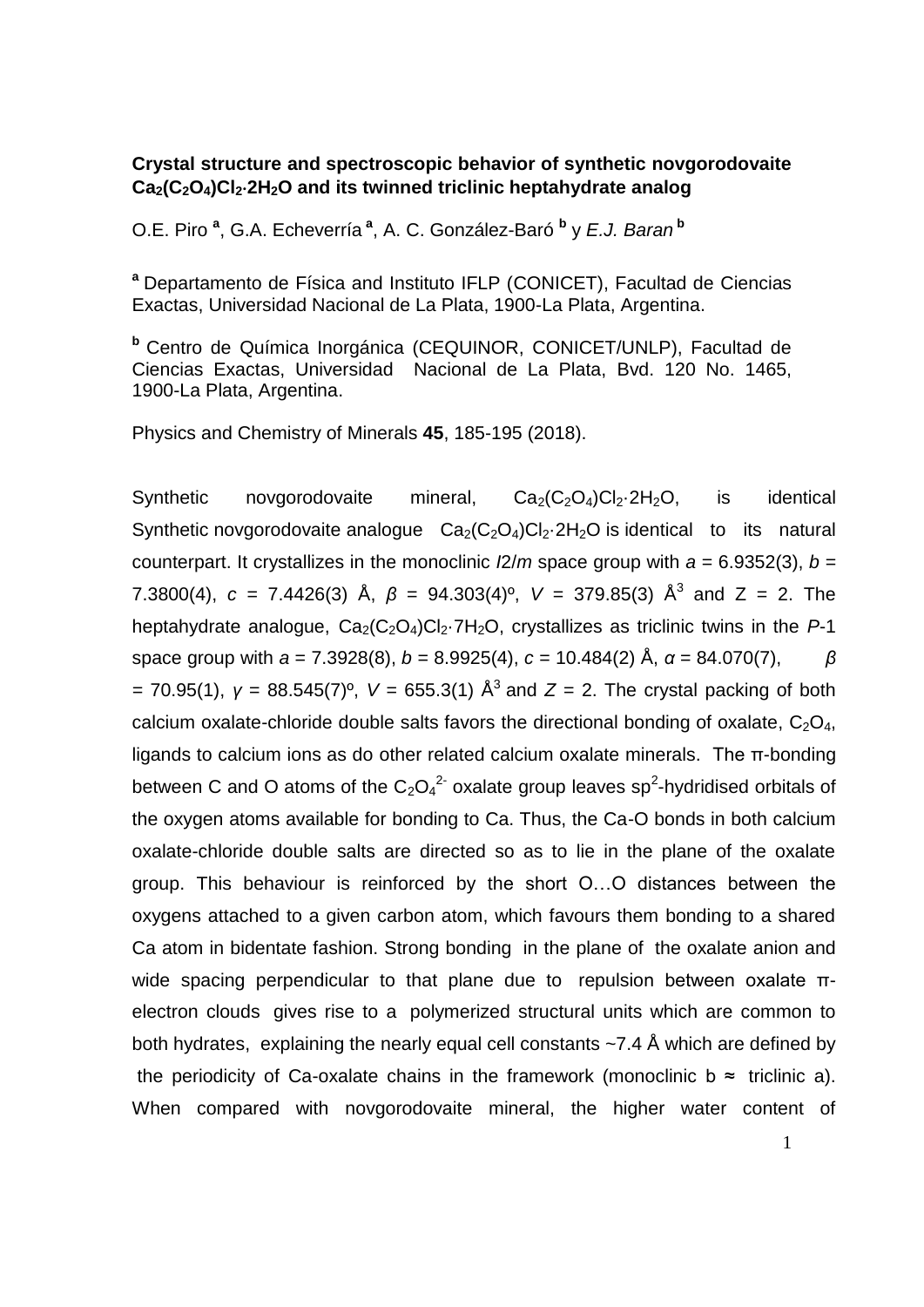## **Crystal structure and spectroscopic behavior of synthetic novgorodovaite Ca2(C2O4)Cl22H2O and its twinned triclinic heptahydrate analog**

O.E. Piro **<sup>a</sup>** , G.A. Echeverría **<sup>a</sup>** , A. C. González-Baró **<sup>b</sup>** y *E.J. Baran* **<sup>b</sup>**

**<sup>a</sup>** Departamento de Física and Instituto IFLP (CONICET), Facultad de Ciencias Exactas, Universidad Nacional de La Plata, 1900-La Plata, Argentina.

**<sup>b</sup>** Centro de Química Inorgánica (CEQUINOR, CONICET/UNLP), Facultad de Ciencias Exactas, Universidad Nacional de La Plata, Bvd. 120 No. 1465, 1900-La Plata, Argentina.

Physics and Chemistry of Minerals **45**, 185-195 (2018).

Synthetic novgorodovaite mineral,  $Ca_{2}(C_{2}O_{4})Cl_{2}\cdot 2H_{2}O$ , is identical Synthetic novgorodovaite analogue  $Ca_2(C_2O_4)Cl_2·2H_2O$  is identical to its natural counterpart. It crystallizes in the monoclinic  $\frac{12}{m}$  space group with  $a = 6.9352(3)$ ,  $b =$ 7.3800(4),  $c = 7.4426(3)$  Å,  $β = 94.303(4)<sup>°</sup>$ ,  $V = 379.85(3)$  Å<sup>3</sup> and  $Z = 2$ . The heptahydrate analogue,  $Ca_2(C_2O_4)Cl_2·7H_2O$ , crystallizes as triclinic twins in the  $P-1$ space group with *a* = 7.3928(8), *b* = 8.9925(4), *c* = 10.484(2) Å, *α* = 84.070(7), *β =* 70.95(1), *γ* = 88.545(7)º, *V* = 655.3(1) Å<sup>3</sup>and *Z* = 2. The crystal packing of both calcium oxalate-chloride double salts favors the directional bonding of oxalate,  $C_2O_4$ , ligands to calcium ions as do other related calcium oxalate minerals. The π-bonding between C and O atoms of the  $C_2O_4^2$  oxalate group leaves sp<sup>2</sup>-hydridised orbitals of the oxygen atoms available for bonding to Ca. Thus, the Ca-O bonds in both calcium oxalate-chloride double salts are directed so as to lie in the plane of the oxalate group. This behaviour is reinforced by the short O…O distances between the oxygens attached to a given carbon atom, which favours them bonding to a shared Ca atom in bidentate fashion. Strong bonding in the plane of the oxalate anion and wide spacing perpendicular to that plane due to repulsion between oxalate πelectron clouds gives rise to a polymerized structural units which are common to both hydrates, explaining the nearly equal cell constants ~7.4 Å which are defined by the periodicity of Ca-oxalate chains in the framework (monoclinic  $b \approx$  triclinic a). When compared with novgorodovaite mineral, the higher water content of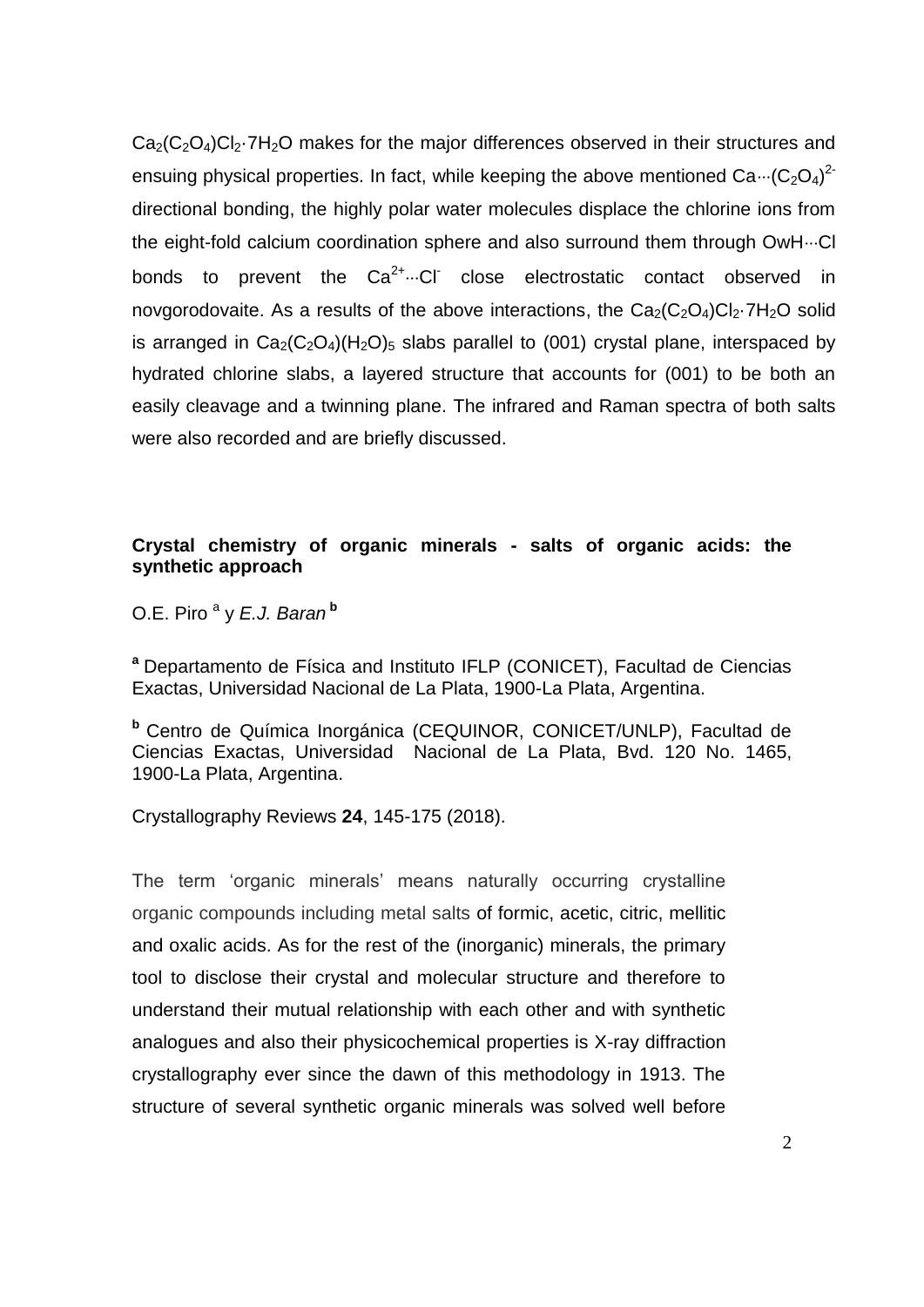$Ca<sub>2</sub>(C<sub>2</sub>O<sub>4</sub>)Cl<sub>2</sub>·7H<sub>2</sub>O$  makes for the major differences observed in their structures and ensuing physical properties. In fact, while keeping the above mentioned  $Ca\cdot\cdot\cdot(C_2O_4)^2$ directional bonding, the highly polar water molecules displace the chlorine ions from the eight-fold calcium coordination sphere and also surround them through OwH $\cdots$ Cl bonds to prevent the  $Ca^{2+}...Cl$  close electrostatic contact observed in novgorodovaite. As a results of the above interactions, the  $Ca_2(C_2O_4)Cl_2 \cdot 7H_2O$  solid is arranged in  $Ca<sub>2</sub>(C<sub>2</sub>O<sub>4</sub>)(H<sub>2</sub>O)<sub>5</sub>$  slabs parallel to (001) crystal plane, interspaced by hydrated chlorine slabs, a layered structure that accounts for (001) to be both an easily cleavage and a twinning plane. The infrared and Raman spectra of both salts were also recorded and are briefly discussed.

## **Crystal chemistry of organic minerals - salts of organic acids: the synthetic approach**

O.E. Piro <sup>a</sup> y *E.J. Baran* **<sup>b</sup>**

**<sup>a</sup>** Departamento de Física and Instituto IFLP (CONICET), Facultad de Ciencias Exactas, Universidad Nacional de La Plata, 1900-La Plata, Argentina.

**<sup>b</sup>** Centro de Química Inorgánica (CEQUINOR, CONICET/UNLP), Facultad de Ciencias Exactas, Universidad Nacional de La Plata, Bvd. 120 No. 1465, 1900-La Plata, Argentina.

Crystallography Reviews **24**, 145-175 (2018).

The term 'organic minerals' means naturally occurring crystalline organic compounds including metal salts of formic, acetic, citric, mellitic and oxalic acids. As for the rest of the (inorganic) minerals, the primary tool to disclose their crystal and molecular structure and therefore to understand their mutual relationship with each other and with synthetic analogues and also their physicochemical properties is X-ray diffraction crystallography ever since the dawn of this methodology in 1913. The structure of several synthetic organic minerals was solved well before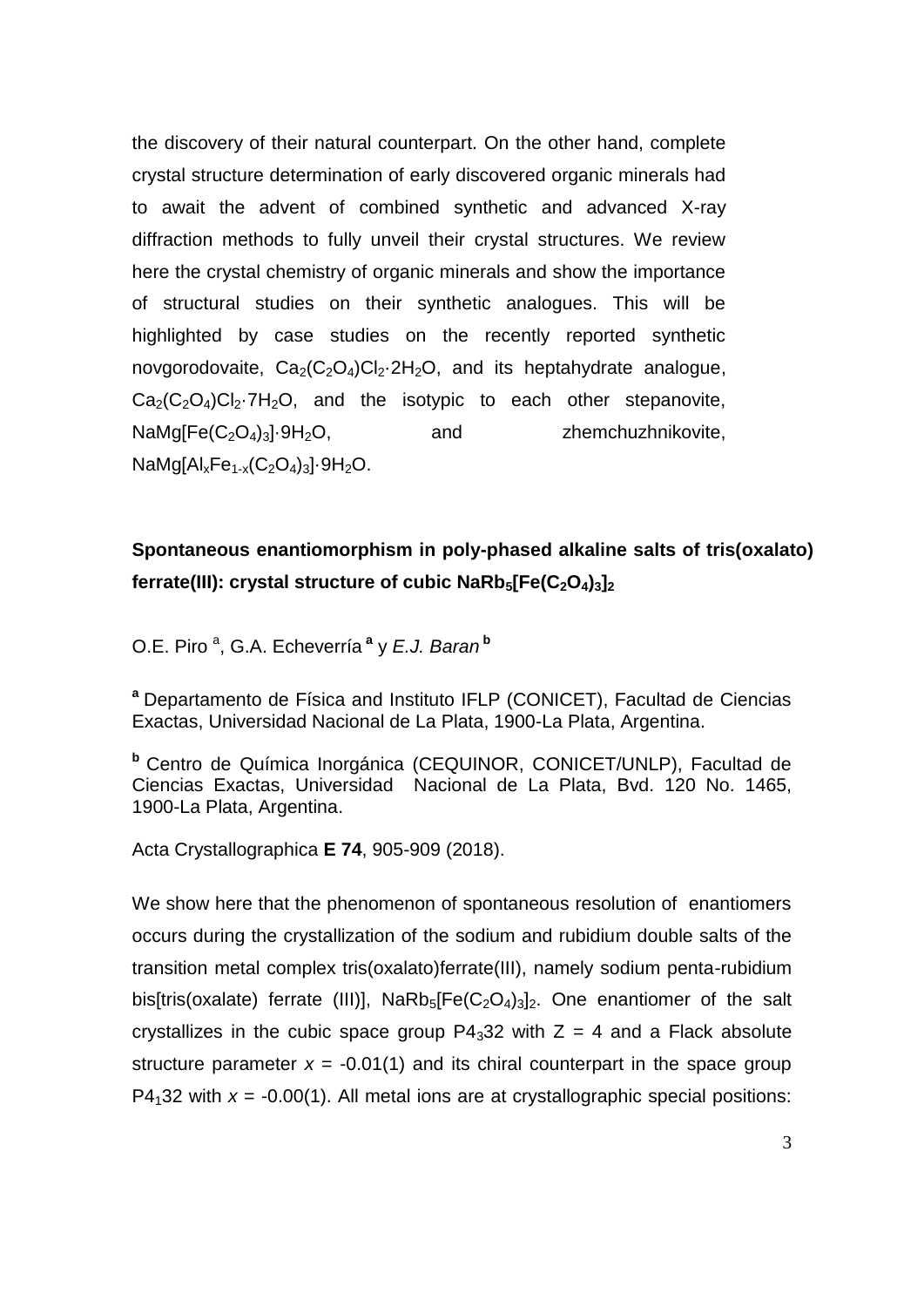the discovery of their natural counterpart. On the other hand, complete crystal structure determination of early discovered organic minerals had to await the advent of combined synthetic and advanced X-ray diffraction methods to fully unveil their crystal structures. We review here the crystal chemistry of organic minerals and show the importance of structural studies on their synthetic analogues. This will be highlighted by case studies on the recently reported synthetic novgorodovaite,  $Ca_2(C_2O_4)Cl_2.2H_2O$ , and its heptahydrate analogue,  $Ca_2(C_2O_4)Cl_2·7H_2O$ , and the isotypic to each other stepanovite,  $NaMg[Fe(C<sub>2</sub>O<sub>4</sub>)<sub>3</sub>]\cdot 9H<sub>2</sub>O$ , and zhemchuzhnikovite,  $N$ aMg $[A]_{x}Fe_{1-x}(C_{2}O_{4})_{3}$ . 9H<sub>2</sub>O.

## **Spontaneous enantiomorphism in poly-phased alkaline salts of tris(oxalato) ferrate(III): crystal structure of cubic NaRb5[Fe(C2O4)3]<sup>2</sup>**

O.E. Piro <sup>a</sup> , G.A. Echeverría **<sup>a</sup>** y *E.J. Baran* **<sup>b</sup>**

**<sup>a</sup>** Departamento de Física and Instituto IFLP (CONICET), Facultad de Ciencias Exactas, Universidad Nacional de La Plata, 1900-La Plata, Argentina.

**<sup>b</sup>** Centro de Química Inorgánica (CEQUINOR, CONICET/UNLP), Facultad de Ciencias Exactas, Universidad Nacional de La Plata, Bvd. 120 No. 1465, 1900-La Plata, Argentina.

Acta Crystallographica **E 74**, 905-909 (2018).

We show here that the phenomenon of spontaneous resolution of enantiomers occurs during the crystallization of the sodium and rubidium double salts of the transition metal complex tris(oxalato)ferrate(III), namely sodium penta-rubidium bis[tris(oxalate) ferrate (III)],  $NaRb_5[Fe(C_2O_4)_3]_2$ . One enantiomer of the salt crystallizes in the cubic space group  $P4<sub>3</sub>32$  with  $Z = 4$  and a Flack absolute structure parameter  $x = -0.01(1)$  and its chiral counterpart in the space group P4<sub>1</sub>32 with  $x = -0.00(1)$ . All metal ions are at crystallographic special positions: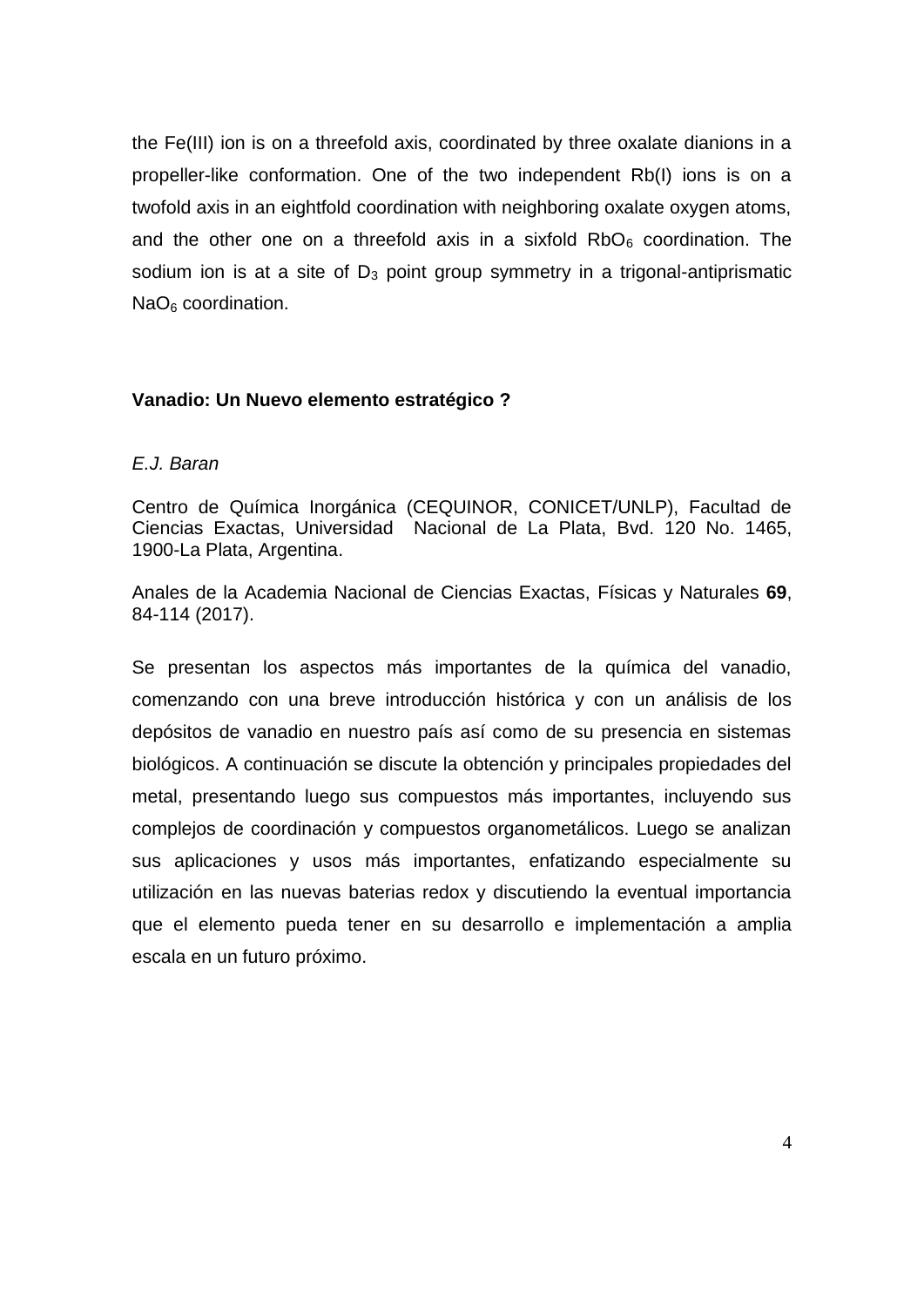the Fe(III) ion is on a threefold axis, coordinated by three oxalate dianions in a propeller-like conformation. One of the two independent Rb(I) ions is on a twofold axis in an eightfold coordination with neighboring oxalate oxygen atoms, and the other one on a threefold axis in a sixfold  $RbO<sub>6</sub>$  coordination. The sodium ion is at a site of  $D_3$  point group symmetry in a trigonal-antiprismatic  $NaO<sub>6</sub>$  coordination.

## **Vanadio: Un Nuevo elemento estratégico ?**

#### *E.J. Baran*

Centro de Química Inorgánica (CEQUINOR, CONICET/UNLP), Facultad de Ciencias Exactas, Universidad Nacional de La Plata, Bvd. 120 No. 1465, 1900-La Plata, Argentina.

Anales de la Academia Nacional de Ciencias Exactas, Físicas y Naturales **69**, 84-114 (2017).

Se presentan los aspectos más importantes de la química del vanadio, comenzando con una breve introducción histórica y con un análisis de los depósitos de vanadio en nuestro país así como de su presencia en sistemas biológicos. A continuación se discute la obtención y principales propiedades del metal, presentando luego sus compuestos más importantes, incluyendo sus complejos de coordinación y compuestos organometálicos. Luego se analizan sus aplicaciones y usos más importantes, enfatizando especialmente su utilización en las nuevas baterias redox y discutiendo la eventual importancia que el elemento pueda tener en su desarrollo e implementación a amplia escala en un futuro próximo.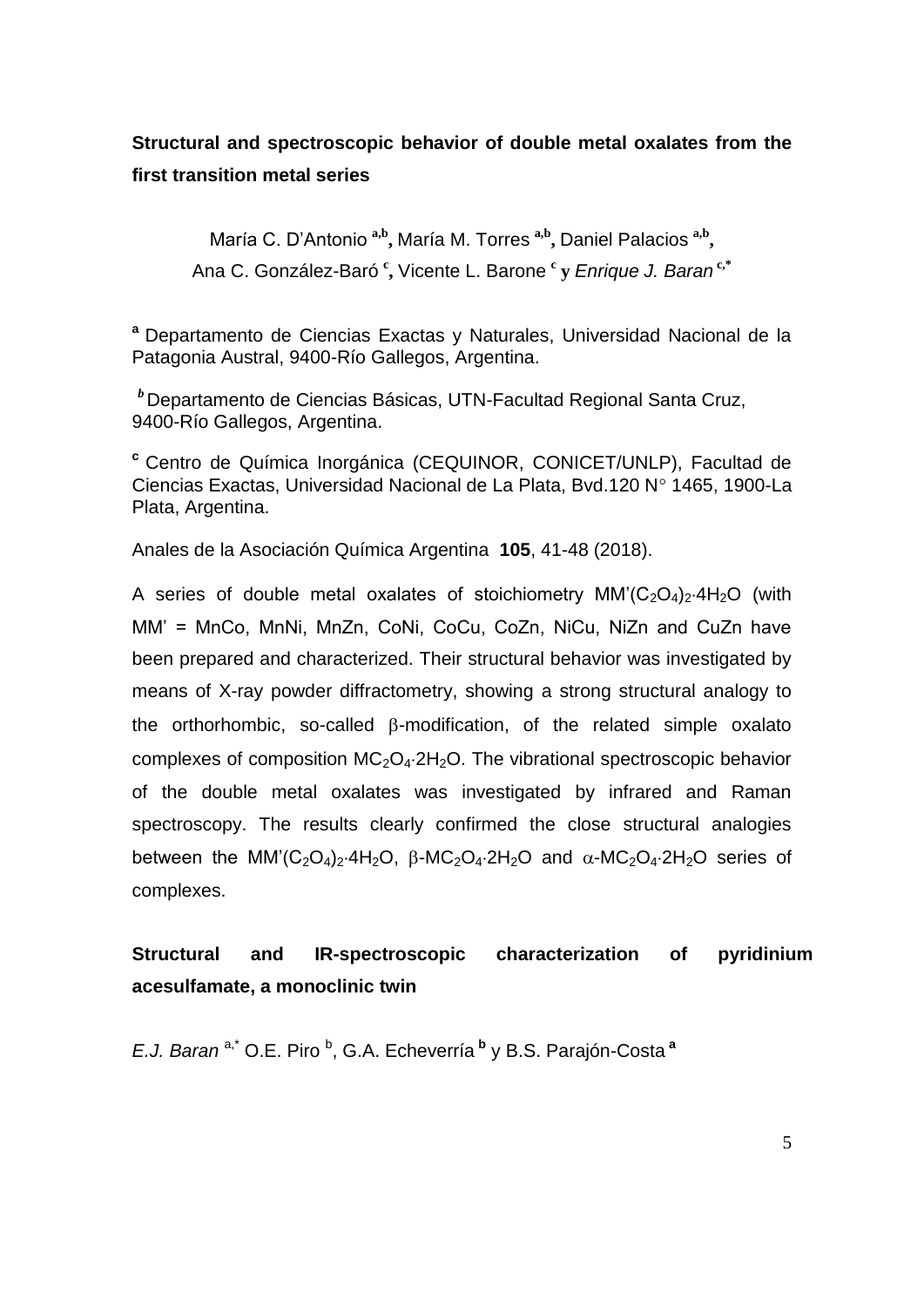# **Structural and spectroscopic behavior of double metal oxalates from the first transition metal series**

María C. D'Antonio<sup>a,b</sup>, María M. Torres<sup>a,b</sup>, Daniel Palacios<sup>a,b</sup>, Ana C. González-Baró **<sup>c</sup> ,** Vicente L. Barone **<sup>c</sup> y** *Enrique J. Baran* **c,\***

**<sup>a</sup>** Departamento de Ciencias Exactas y Naturales, Universidad Nacional de la Patagonia Austral, 9400-Río Gallegos, Argentina.

*<sup>b</sup>* Departamento de Ciencias Básicas, UTN-Facultad Regional Santa Cruz, 9400-Río Gallegos, Argentina.

**<sup>c</sup>** Centro de Química Inorgánica (CEQUINOR, CONICET/UNLP), Facultad de Ciencias Exactas, Universidad Nacional de La Plata, Bvd.120 Nº 1465, 1900-La Plata, Argentina.

Anales de la Asociación Química Argentina **105**, 41-48 (2018).

A series of double metal oxalates of stoichiometry  $MM'(C_2O_4)_2.4H_2O$  (with MM' = MnCo, MnNi, MnZn, CoNi, CoCu, CoZn, NiCu, NiZn and CuZn have been prepared and characterized. Their structural behavior was investigated by means of X-ray powder diffractometry, showing a strong structural analogy to the orthorhombic, so-called  $\beta$ -modification, of the related simple oxalato complexes of composition  $MC_2O_4.2H_2O$ . The vibrational spectroscopic behavior of the double metal oxalates was investigated by infrared and Raman spectroscopy. The results clearly confirmed the close structural analogies between the MM'(C<sub>2</sub>O<sub>4</sub>)<sub>2</sub>.4H<sub>2</sub>O, B-MC<sub>2</sub>O<sub>4</sub>.2H<sub>2</sub>O and  $\alpha$ -MC<sub>2</sub>O<sub>4</sub>.2H<sub>2</sub>O series of complexes.

## **Structural and IR-spectroscopic characterization of pyridinium acesulfamate, a monoclinic twin**

E.J. Baran<sup>a,\*</sup> O.E. Piro <sup>b</sup>, G.A. Echeverría <sup>b</sup>y B.S. Parajón-Costa<sup>a</sup>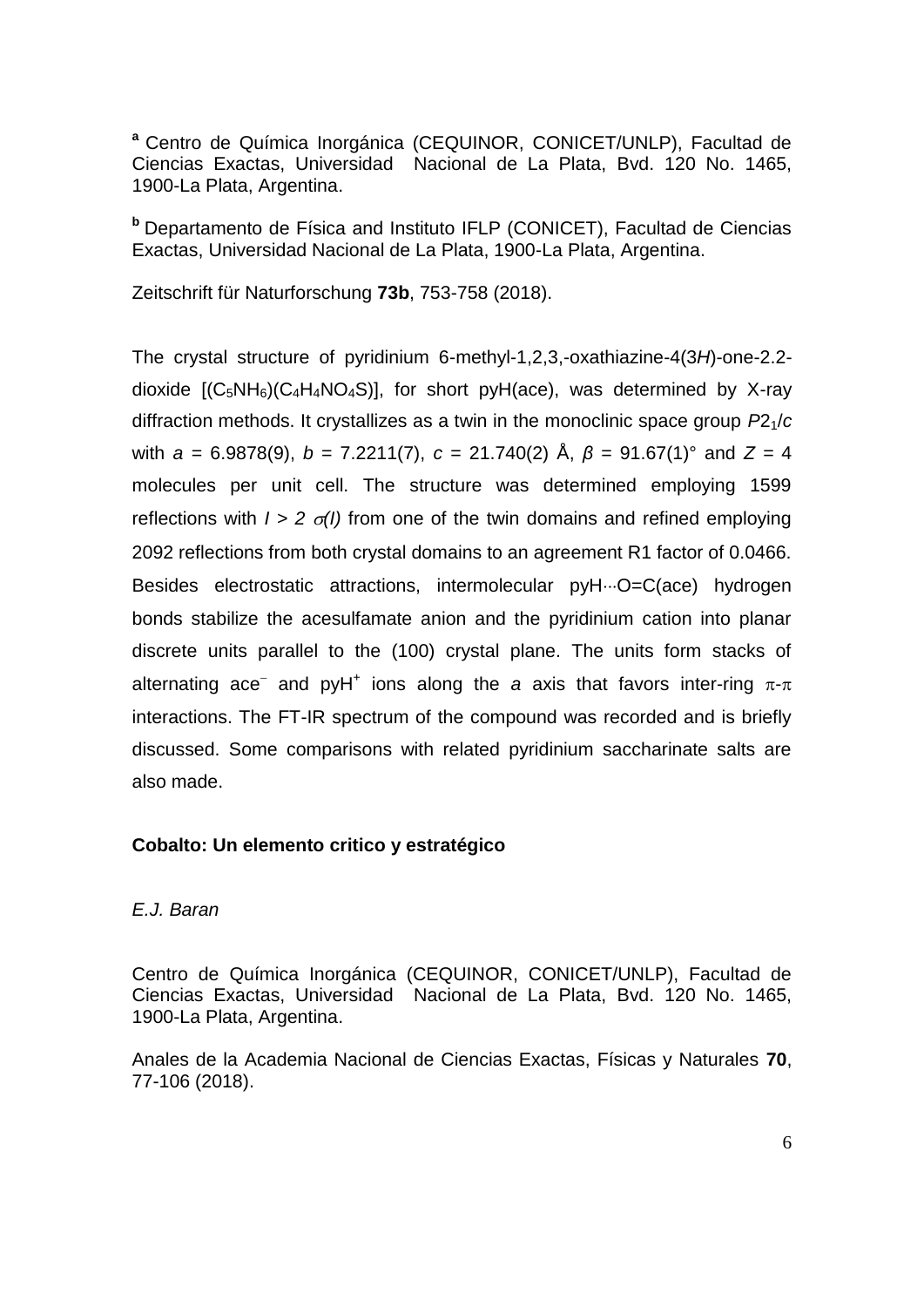**<sup>a</sup>** Centro de Química Inorgánica (CEQUINOR, CONICET/UNLP), Facultad de Ciencias Exactas, Universidad Nacional de La Plata, Bvd. 120 No. 1465, 1900-La Plata, Argentina.

**<sup>b</sup>** Departamento de Física and Instituto IFLP (CONICET), Facultad de Ciencias Exactas, Universidad Nacional de La Plata, 1900-La Plata, Argentina.

Zeitschrift für Naturforschung **73b**, 753-758 (2018).

The crystal structure of pyridinium 6-methyl-1,2,3,-oxathiazine-4(3*H*)-one-2.2 dioxide  $[(C_5NH_6)(C_4H_4NO_4S)]$ , for short pyH(ace), was determined by X-ray diffraction methods. It crystallizes as a twin in the monoclinic space group *P*21/*c* with *a* = 6.9878(9), *b* = 7.2211(7), *c* = 21.740(2) Å, *β* = 91.67(1)° and *Z* = 4 molecules per unit cell. The structure was determined employing 1599 reflections with  $I > 2 \sigma(I)$  from one of the twin domains and refined employing 2092 reflections from both crystal domains to an agreement R1 factor of 0.0466. Besides electrostatic attractions, intermolecular pyH...O=C(ace) hydrogen bonds stabilize the acesulfamate anion and the pyridinium cation into planar discrete units parallel to the (100) crystal plane. The units form stacks of alternating ace<sup>-</sup> and pyH<sup>+</sup> ions along the *a* axis that favors inter-ring  $\pi$ - $\pi$ interactions. The FT-IR spectrum of the compound was recorded and is briefly discussed. Some comparisons with related pyridinium saccharinate salts are also made.

## **Cobalto: Un elemento critico y estratégico**

## *E.J. Baran*

Centro de Química Inorgánica (CEQUINOR, CONICET/UNLP), Facultad de Ciencias Exactas, Universidad Nacional de La Plata, Bvd. 120 No. 1465, 1900-La Plata, Argentina.

Anales de la Academia Nacional de Ciencias Exactas, Físicas y Naturales **70**, 77-106 (2018).